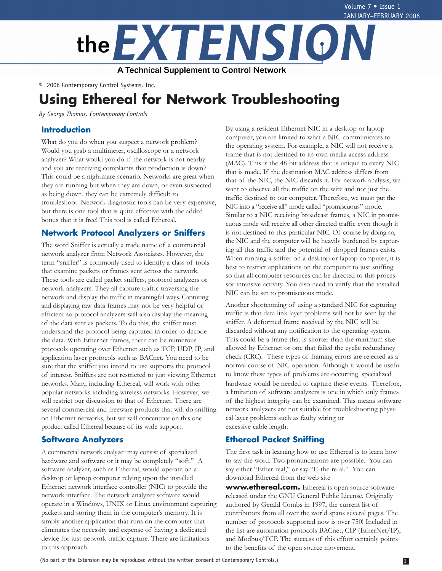

© 2006 Contemporary Control Systems, Inc.

# **Using Ethereal for Network Troubleshooting**

*By George Thomas, Contemporary Controls* 

## **Introduction**

What do you do when you suspect a network problem? Would you grab a multimeter, oscilloscope or a network analyzer? What would you do if the network is not nearby and you are receiving complaints that production is down? This could be a nightmare scenario. Networks are great when they are running but when they are down, or even suspected as being down, they can be extremely difficult to troubleshoot. Network diagnostic tools can be very expensive, but there is one tool that is quite effective with the added bonus that it is free! This tool is called Ethereal.

#### **Network Protocol Analyzers or Sniffers**

The word Sniffer is actually a trade name of a commercial network analyzer from Network Associates. However, the term "sniffer" is commonly used to identify a class of tools that examine packets or frames sent across the network. These tools are called packet sniffers, protocol analyzers or network analyzers. They all capture traffic traversing the network and display the traffic in meaningful ways. Capturing and displaying raw data frames may not be very helpful or efficient so protocol analyzers will also display the meaning of the data sent as packets. To do this, the sniffer must understand the protocol being captured in order to decode the data. With Ethernet frames, there can be numerous protocols operating over Ethernet such as TCP, UDP, IP, and application layer protocols such as BACnet. You need to be sure that the sniffer you intend to use supports the protocol of interest. Sniffers are not restricted to just viewing Ethernet networks. Many, including Ethereal, will work with other popular networks including wireless networks. However, we will restrict our discussion to that of Ethernet. There are several commercial and freeware products that will do sniffing on Ethernet networks, but we will concentrate on this one product called Ethereal because of its wide support.

## **Software Analyzers**

A commercial network analyzer may consist of specialized hardware and software or it may be completely "soft." A software analyzer, such as Ethereal, would operate on a desktop or laptop computer relying upon the installed Ethernet network interface controller (NIC) to provide the network interface. The network analyzer software would operate in a Windows, UNIX or Linux environment capturing packets and storing them in the computer's memory. It is simply another application that runs on the computer that eliminates the necessity and expense of having a dedicated device for just network traffic capture. There are limitations to this approach.

By using a resident Ethernet NIC in a desktop or laptop computer, you are limited to what a NIC communicates to the operating system. For example, a NIC will not receive a frame that is not destined to its own media access address (MAC). This is the 48-bit address that is unique to every NIC that is made. If the destination MAC address differs from that of the NIC, the NIC discards it. For network analysis, we want to observe all the traffic on the wire and not just the traffic destined to our computer. Therefore, we must put the NIC into a "receive all" mode called "promiscuous" mode. Similar to a NIC receiving broadcast frames, a NIC in promiscuous mode will receive all other directed traffic even though it is not destined to this particular NIC. Of course by doing so, the NIC and the computer will be heavily burdened by capturing all this traffic and the potential of dropped frames exists. When running a sniffer on a desktop or laptop computer, it is best to restrict applications on the computer to just sniffing so that all computer resources can be directed to this processor-intensive activity. You also need to verify that the installed NIC can be set to promiscuous mode.

Another shortcoming of using a standard NIC for capturing traffic is that data link layer problems will not be seen by the sniffer. A deformed frame received by the NIC will be discarded without any notification to the operating system. This could be a frame that is shorter than the minimum size allowed by Ethernet or one that failed the cyclic redundancy check (CRC). These types of framing errors are rejected as a normal course of NIC operation. Although it would be useful to know these types of problems are occurring, specialized hardware would be needed to capture these events. Therefore, a limitation of software analyzers is one in which only frames of the highest integrity can be examined. This means software network analyzers are not suitable for troubleshooting physical layer problems such as faulty wiring or excessive cable length.

# **Ethereal Packet Sniffing**

The first task in learning how to use Ethereal is to learn how to say the word. Two pronunciations are possible. You can say either "Ether-real," or say "E-the-re-al." You can download Ethereal from the web site

**[www.ethereal.com.](http://www.ethereal.com)** Ethereal is open source software released under the GNU General Public License. Originally authored by Gerald Combs in 1997, the current list of contributors from all over the world spans several pages. The number of protocols supported now is over 750! Included in the list are automation protocols BACnet, CIP (EtherNet/IP), and Modbus/TCP. The success of this effort certainly points to the benefits of the open source movement.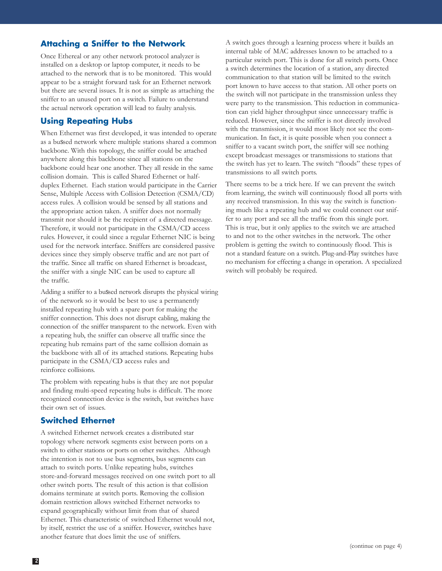## **Attaching a Sniffer to the Network**

Once Ethereal or any other network protocol analyzer is installed on a desktop or laptop computer, it needs to be attached to the network that is to be monitored. This would appear to be a straight forward task for an Ethernet network but there are several issues. It is not as simple as attaching the sniffer to an unused port on a switch. Failure to understand the actual network operation will lead to faulty analysis.

# **Using Repeating Hubs**

When Ethernet was first developed, it was intended to operate as a bussed network where multiple stations shared a common backbone. With this topology, the sniffer could be attached anywhere along this backbone since all stations on the backbone could hear one another. They all reside in the same collision domain. This is called Shared Ethernet or halfduplex Ethernet. Each station would participate in the Carrier Sense, Multiple Access with Collision Detection (CSMA/CD) access rules. A collision would be sensed by all stations and the appropriate action taken. A sniffer does not normally transmit nor should it be the recipient of a directed message. Therefore, it would not participate in the CSMA/CD access rules. However, it could since a regular Ethernet NIC is being used for the network interface. Sniffers are considered passive devices since they simply observe traffic and are not part of the traffic. Since all traffic on shared Ethernet is broadcast, the sniffer with a single NIC can be used to capture all the traffic.

Adding a sniffer to a bussed network disrupts the physical wiring of the network so it would be best to use a permanently installed repeating hub with a spare port for making the sniffer connection. This does not disrupt cabling, making the connection of the sniffer transparent to the network. Even with a repeating hub, the sniffer can observe all traffic since the repeating hub remains part of the same collision domain as the backbone with all of its attached stations. Repeating hubs participate in the CSMA/CD access rules and reinforce collisions.

The problem with repeating hubs is that they are not popular and finding multi-speed repeating hubs is difficult. The more recognized connection device is the switch, but switches have their own set of issues.

## **Switched Ethernet**

A switched Ethernet network creates a distributed star topology where network segments exist between ports on a switch to either stations or ports on other switches. Although the intention is not to use bus segments, bus segments can attach to switch ports. Unlike repeating hubs, switches store-and-forward messages received on one switch port to all other switch ports. The result of this action is that collision domains terminate at switch ports. Removing the collision domain restriction allows switched Ethernet networks to expand geographically without limit from that of shared Ethernet. This characteristic of switched Ethernet would not, by itself, restrict the use of a sniffer. However, switches have another feature that does limit the use of sniffers.

A switch goes through a learning process where it builds an internal table of MAC addresses known to be attached to a particular switch port. This is done for all switch ports. Once a switch determines the location of a station, any directed communication to that station will be limited to the switch port known to have access to that station. All other ports on the switch will not participate in the transmission unless they were party to the transmission. This reduction in communication can yield higher throughput since unnecessary traffic is reduced. However, since the sniffer is not directly involved with the transmission, it would most likely not see the communication. In fact, it is quite possible when you connect a sniffer to a vacant switch port, the sniffer will see nothing except broadcast messages or transmissions to stations that the switch has yet to learn. The switch "floods" these types of transmissions to all switch ports.

There seems to be a trick here. If we can prevent the switch from learning, the switch will continuously flood all ports with any received transmission. In this way the switch is functioning much like a repeating hub and we could connect our sniffer to any port and see all the traffic from this single port. This is true, but it only applies to the switch we are attached to and not to the other switches in the network. The other problem is getting the switch to continuously flood. This is not a standard feature on a switch. Plug-and-Play switches have no mechanism for effecting a change in operation. A specialized switch will probably be required.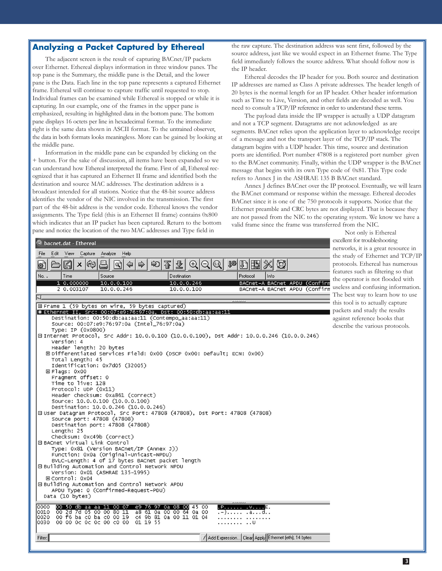#### **Analyzing a Packet Captured by Ethereal**

The adjacent screen is the result of capturing BACnet/IP packets over Ethernet. Ethereal displays information in three window panes. The top pane is the Summary, the middle pane is the Detail, and the lower pane is the Data. Each line in the top pane represents a captured Ethernet frame. Ethereal will continue to capture traffic until requested to stop. Individual frames can be examined while Ethereal is stopped or while it is capturing. In our example, one of the frames in the upper pane is emphasized, resulting in highlighted data in the bottom pane. The bottom pane displays 16 octets per line in hexadecimal format. To the immediate right is the same data shown in ASCII format. To the untrained observer, the data in both formats looks meaningless. More can be gained by looking at the middle pane.

Information in the middle pane can be expanded by clicking on the + button. For the sake of discussion, all items have been expanded so we can understand how Ethereal interpreted the frame. First of all, Ethereal recognized that it has captured an Ethernet II frame and identified both the destination and source MAC addresses. The destination address is a broadcast intended for all stations. Notice that the 48-bit source address identifies the vendor of the NIC involved in the transmission. The first part of the 48-bit address is the vendor code. Ethereal knows the vendor assignments. The Type field (this is an Ethernet II frame) contains 0x800 which indicates that an IP packet has been captured. Return to the bottom pane and notice the location of the two MAC addresses and Type field in

C bacnet.dat - Ethereal

the raw capture. The destination address was sent first, followed by the source address, just like we would expect in an Ethernet frame. The Type field immediately follows the source address. What should follow now is the IP header.

Ethereal decodes the IP header for you. Both source and destination IP addresses are named as Class A private addresses. The header length of 20 bytes is the normal length for an IP header. Other header information such as Time to Live, Version, and other fields are decoded as well. You need to consult a TCP/IP reference in order to understand these terms.

The payload data inside the IP wrapper is actually a UDP datagram and not a TCP segment. Datagrams are not acknowledged as are segments. BACnet relies upon the application layer to acknowledge receipt of a message and not the transport layer of the TCP/IP stack. The datagram begins with a UDP header. This time, source and destination ports are identified. Port number 47808 is a registered port number given to the BACnet community. Finally, within the UDP wrapper is the BACnet message that begins with its own Type code of 0x81. This Type code refers to Annex J in the ASHRAE 135 B BACnet standard.

Annex J defines BACnet over the IP protocol. Eventually, we will learn the BACnet command or response within the message. Ethereal decodes BACnet since it is one of the 750 protocols it supports. Notice that the Ethernet preamble and CRC bytes are not displayed. That is because they are not passed from the NIC to the operating system. We know we have a valid frame since the frame was transferred from the NIC.

> Not only is Ethereal excellent for troubleshooting networks, it is a great resource in the study of Ethernet and TCP/IP protocols. Ethereal has numerous features such as filtering so that the operator is not flooded with useless and confusing information. The best way to learn how to use this tool is to actually capture packets and study the results against reference books that describe the various protocols.

File Edit View Capture Analyze Help [4]  $\mathbb{D}$  is Д  $\Leftrightarrow$ 贈  $\times$   $\otimes$  $\Rightarrow$ €  $^{\circledR}$ Ø 8) Բ থি Protocol No. Time Source Destination 1<sub>Info</sub>  $10.000000$  $10.0.0.100$  $10.0.0.246$ BACnet-A BACnet APDU (Confirm  $10.0.0.100$ BACnet-A BACnet APDU (Confirm 2 0.003107 10.0.0.246 ιт 田 Frame 1 (59 bytes on wire, 59 bytes captured) □ Ethernet II, Src: 00:07:e9:76:97:0a, Dst: 00:50:db:aa:aa:11 Destination: 00:50:db:aa:aa:11 (Contempo\_aa:aa:11) Source: 00:07:e9:76:97:0a (Intel\_76:97:0a) Type: IP (0x0800) ⊟ Internet Protocol, Src Addr: 10.0.0.100 (10.0.0.100), Dst Addr: 10.0.0.246 (10.0.0.246) Version: 4 Header length: 20 bytes EDifferentiated Services Field: 0x00 (DSCP 0x00: Default; ECN: 0x00) Total Length: 45 Identification: 0x7d05 (32005) 田Flags: 0x00 Fragment offset: 0 Time to live: 128 Protocol: UDP (0x11) Header checksum: 0xa861 (correct) Source: 10.0.0.100 (10.0.0.100) Destination: 10.0.0.246 (10.0.0.246) 曰 User Datagram Protocol, Src Port: 47808 (47808), Dst Port: 47808 (47808) Source port: 47808 (47808) Destination port: 47808 (47808) Lenath: 25 Checksum: 0xc49b (correct) EBACnet Virtual Link Control Type: 0x81 (Version BACnet/IP (Annex J)) Function: 0x0a (Original-Unicast-NPDU) BVLC-Length: 4 of 17 bytes BACnet packet length □ Building Automation and Control Network NPDU Version: 0x01 (ASHRAE 135-1995) 田Control: 0x04 ⊟ Building Automation and Control Network APDU APDU Type: 0 (Confirmed-Request-PDU) Data (10 bytes) 10000 00 50 db aa aa 11 00 07 09 76 97 0a 08 00 45 00  $P$ .....  $\overline{\mathbf{y}}$ .  $\overline{\mathbf{y}}$ 0010 00 2d 7d 05 00 00 80 11<br>00 f6 ba c0 ba c0 00 19 0a 00 a8 61 0a 00 -00 .-}..... .a...d.. c4 9b 81 0a 00 11 01 04 0020 . . . . . . . . <sub>.</sub> . . . . . . . 0030 00 00 0c 0c 0c 00 c0 00 01 19 55 . . . . . . . . . . U 7 Add Expression... Clear Apply Ethernet (eth), 14 bytes Filter: